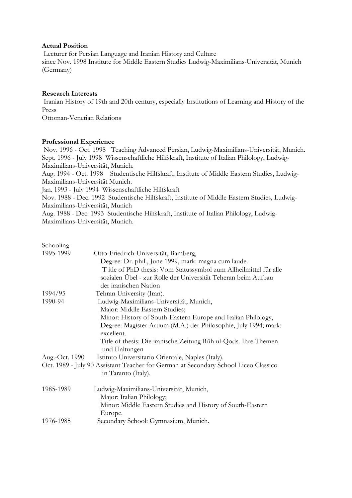### **Actual Position**

 Lecturer for Persian Language and Iranian History and Culture since Nov. 1998 Institute for Middle Eastern Studies Ludwig-Maximilians-Universität, Munich (Germany)

#### **Research Interests**

 Iranian History of 19th and 20th century, especially Institutions of Learning and History of the Press

Ottoman-Venetian Relations

### **Professional Experience**

 Nov. 1996 - Oct. 1998 Teaching Advanced Persian, Ludwig-Maximilians-Universität, Munich. Sept. 1996 - July 1998 Wissenschaftliche Hilfskraft, Institute of Italian Philology, Ludwig-Maximilians-Universität, Munich.

Aug. 1994 - Oct. 1998 Studentische Hilfskraft, Institute of Middle Eastern Studies, Ludwig-Maximilians-Universität Munich.

Jan. 1993 - July 1994 Wissenschaftliche Hilfskraft

Nov. 1988 - Dec. 1992 Studentische Hilfskraft, Institute of Middle Eastern Studies, Ludwig-Maximilians-Universität, Munich

Aug. 1988 - Dec. 1993 Studentische Hilfskraft, Institute of Italian Philology, Ludwig-Maximilians-Universität, Munich.

| Schooling      |                                                                                     |
|----------------|-------------------------------------------------------------------------------------|
| 1995-1999      | Otto-Friedrich-Universität, Bamberg,                                                |
|                | Degree: Dr. phil., June 1999, mark: magna cum laude.                                |
|                | T itle of PhD thesis: Vom Statussymbol zum Allheilmittel für alle                   |
|                | sozialen Übel - zur Rolle der Universität Teheran beim Aufbau                       |
|                | der iranischen Nation                                                               |
| 1994/95        | Tehran University (Iran).                                                           |
| 1990-94        | Ludwig-Maximilians-Universität, Munich,                                             |
|                | Major: Middle Eastern Studies;                                                      |
|                | Minor: History of South-Eastern Europe and Italian Philology,                       |
|                | Degree: Magister Artium (M.A.) der Philosophie, July 1994; mark:                    |
|                | excellent.                                                                          |
|                | Title of thesis: Die iranische Zeitung Rûh ul-Qods. Ihre Themen                     |
|                | und Haltungen                                                                       |
| Aug.-Oct. 1990 | Istituto Universitario Orientale, Naples (Italy).                                   |
|                | Oct. 1989 - July 90 Assistant Teacher for German at Secondary School Liceo Classico |
|                | in Taranto (Italy).                                                                 |
| 1985-1989      | Ludwig-Maximilians-Universität, Munich,                                             |
|                | Major: Italian Philology;                                                           |
|                | Minor: Middle Eastern Studies and History of South-Eastern                          |
|                | Europe.                                                                             |
| 1976-1985      | Secondary School: Gymnasium, Munich.                                                |
|                |                                                                                     |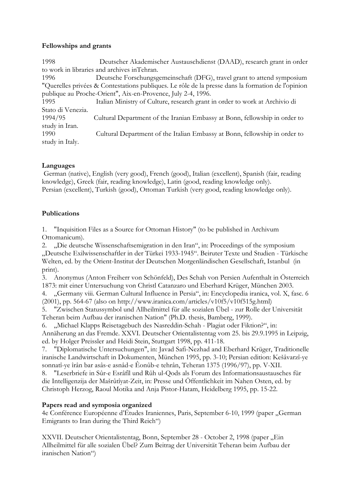## **Fellowships and grants**

| 1998                                                         | Deutscher Akademischer Austauschdienst (DAAD), research grant in order                            |  |
|--------------------------------------------------------------|---------------------------------------------------------------------------------------------------|--|
| to work in libraries and archives in Tehran.                 |                                                                                                   |  |
| 1996                                                         | Deutsche Forschungsgemeinschaft (DFG), travel grant to attend symposium                           |  |
|                                                              | "Querelles privées & Contestations publiques. Le rôle de la presse dans la formation de l'opinion |  |
| publique au Proche-Orient", Aix-en-Provence, July 2-4, 1996. |                                                                                                   |  |
| 1995                                                         | Italian Ministry of Culture, research grant in order to work at Archivio di                       |  |
| Stato di Venezia.                                            |                                                                                                   |  |
| 1994/95                                                      | Cultural Department of the Iranian Embassy at Bonn, fellowship in order to                        |  |
| study in Iran.                                               |                                                                                                   |  |
| 1990                                                         | Cultural Department of the Italian Embassy at Bonn, fellowship in order to                        |  |
| study in Italy.                                              |                                                                                                   |  |

# **Languages**

 German (native), English (very good), French (good), Italian (excellent), Spanish (fair, reading knowledge), Greek (fair, reading knowledge), Latin (good, reading knowledge only). Persian (excellent), Turkish (good), Ottoman Turkish (very good, reading knowledge only).

# **Publications**

1. "Inquisition Files as a Source for Ottoman History" (to be published in Archivum Ottomanicum).

2. "Die deutsche Wissenschaftsemigration in den Iran", in: Proceedings of the symposium "Deutsche Exilwissenschaftler in der Türkei 1933-1945". Beiruter Texte und Studien - Türkische Welten, ed. by the Orient-Institut der Deutschen Morgenländischen Gesellschaft, Istanbul (in print).

3. Anonymus (Anton Freiherr von Schönfeld), Des Schah von Persien Aufenthalt in Österreich 1873: mit einer Untersuchung von Christl Catanzaro und Eberhard Krüger, München 2003.

4. "Germany viii. German Cultural Influence in Persia", in: Encyclopedia iranica, vol. X, fasc. 6 (2001), pp. 564-67 (also on http://www.iranica.com/articles/v10f5/v10f515g.html)

5. "Zwischen Statussymbol und Allheilmittel für alle sozialen Übel - zur Rolle der Universität Teheran beim Aufbau der iranischen Nation" (Ph.D. thesis, Bamberg, 1999).

6. "Michael Klapps Reisetagebuch des Nasreddin-Schah - Plagiat oder Fiktion?", in: Annäherung an das Fremde. XXVI. Deutscher Orientalistentag vom 25. bis 29.9.1995 in Leipzig, ed. by Holger Preissler and Heidi Stein, Stuttgart 1998, pp. 411-18.

7. "Diplomatische Untersuchungen", in: Javad Safi-Nezhad and Eberhard Krüger, Traditionelle iranische Landwirtschaft in Dokumenten, München 1995, pp. 3-10; Persian edition: Kešâvarzî-ye sonnatî-ye îrân bar asâs-e asnâd-e Êonûb-e tehrân, Teheran 1375 (1996/97), pp. V-XII.

8. "Leserbriefe in Sûr-e Esrâfîl und Rûh ul-Qods als Forum des Informationsaustausches für die Intelligenzija der Mašrûtîyat-Zeit, in: Presse und Öffentlichkeit im Nahen Osten, ed. by Christoph Herzog, Raoul Motika and Anja Pistor-Hatam, Heidelberg 1995, pp. 15-22.

# **Papers read and symposia organized**

4e Conférence Européenne d'Études Iraniennes, Paris, September 6-10, 1999 (paper "German Emigrants to Iran during the Third Reich")

XXVII. Deutscher Orientalistentag, Bonn, September 28 - October 2, 1998 (paper "Ein Allheilmittel für alle sozialen Übel? Zum Beitrag der Universität Teheran beim Aufbau der iranischen Nation")